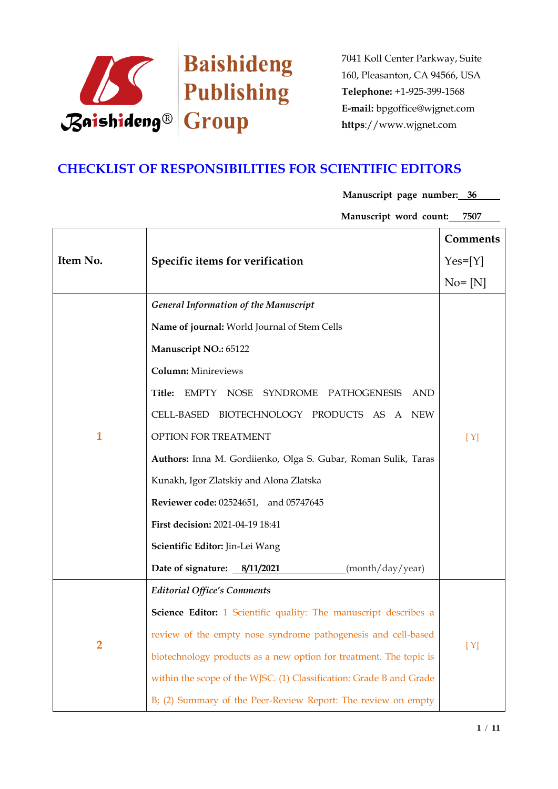

### **CHECKLIST OF RESPONSIBILITIES FOR SCIENTIFIC EDITORS**

**Manuscript page number: 36**

Manuscript word count: 7507

|                |                                                                     | Comments   |
|----------------|---------------------------------------------------------------------|------------|
| Item No.       | Specific items for verification                                     | $Yes=[Y]$  |
|                |                                                                     | $No = [N]$ |
|                | <b>General Information of the Manuscript</b>                        |            |
|                | Name of journal: World Journal of Stem Cells                        |            |
|                | Manuscript NO.: 65122                                               |            |
|                | <b>Column:</b> Minireviews                                          |            |
|                | Title:<br>EMPTY NOSE SYNDROME PATHOGENESIS AND                      | [Y]        |
|                | CELL-BASED BIOTECHNOLOGY PRODUCTS AS A NEW                          |            |
| $\mathbf{1}$   | OPTION FOR TREATMENT                                                |            |
|                | Authors: Inna M. Gordiienko, Olga S. Gubar, Roman Sulik, Taras      |            |
|                | Kunakh, Igor Zlatskiy and Alona Zlatska                             |            |
|                | Reviewer code: 02524651, and 05747645                               |            |
|                | First decision: 2021-04-19 18:41                                    |            |
|                | Scientific Editor: Jin-Lei Wang                                     |            |
|                | Date of signature: 8/11/2021<br>(month/day/year)                    |            |
|                | <b>Editorial Office's Comments</b>                                  |            |
| $\overline{2}$ | Science Editor: 1 Scientific quality: The manuscript describes a    |            |
|                | review of the empty nose syndrome pathogenesis and cell-based       | [Y]        |
|                | biotechnology products as a new option for treatment. The topic is  |            |
|                | within the scope of the WJSC. (1) Classification: Grade B and Grade |            |
|                | B; (2) Summary of the Peer-Review Report: The review on empty       |            |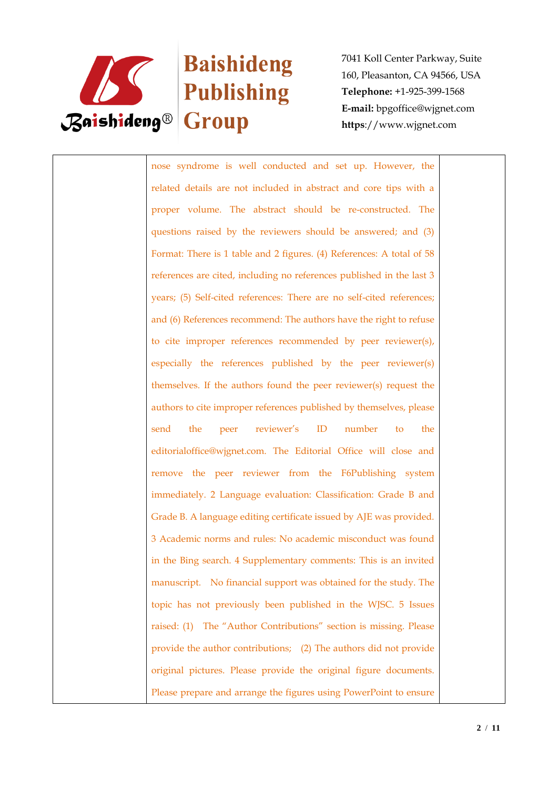

# **Baishideng Example 18** Publishing

7041 Koll Center Parkway, Suite 160, Pleasanton, CA 94566, USA **Telephone:** +1-925-399-1568 **E-mail:** bpgoffice@wjgnet.com **https**://www.wjgnet.com

nose syndrome is well conducted and set up. However, the related details are not included in abstract and core tips with a proper volume. The abstract should be re-constructed. The questions raised by the reviewers should be answered; and (3) Format: There is 1 table and 2 figures. (4) References: A total of 58 references are cited, including no references published in the last 3 years; (5) Self-cited references: There are no self-cited references; and (6) References recommend: The authors have the right to refuse to cite improper references recommended by peer reviewer(s), especially the references published by the peer reviewer(s) themselves. If the authors found the peer reviewer(s) request the authors to cite improper references published by themselves, please send the peer reviewer's ID number to the editorialoffice@wjgnet.com. The Editorial Office will close and remove the peer reviewer from the F6Publishing system immediately. 2 Language evaluation: Classification: Grade B and Grade B. A language editing certificate issued by AJE was provided. 3 Academic norms and rules: No academic misconduct was found in the Bing search. 4 Supplementary comments: This is an invited manuscript. No financial support was obtained for the study. The topic has not previously been published in the WJSC. 5 Issues raised: (1) The "Author Contributions" section is missing. Please provide the author contributions; (2) The authors did not provide original pictures. Please provide the original figure documents. Please prepare and arrange the figures using PowerPoint to ensure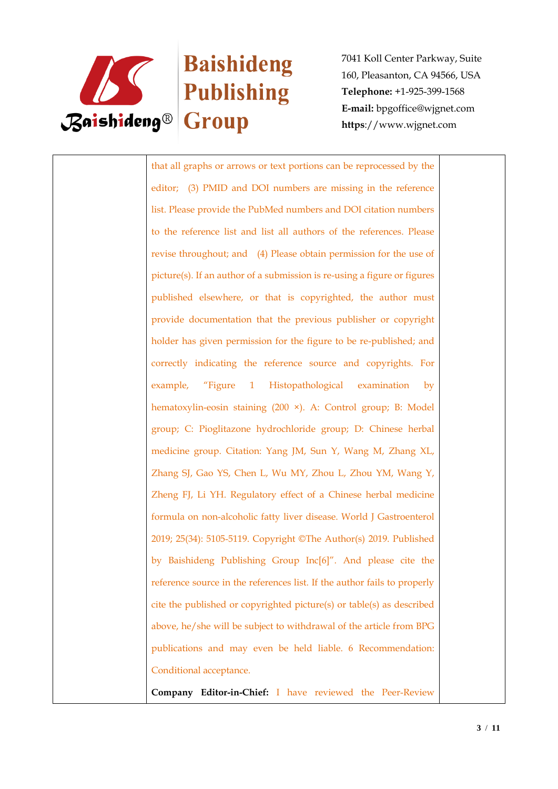

# **Baishideng Example 18**<br>Publishing

7041 Koll Center Parkway, Suite 160, Pleasanton, CA 94566, USA **Telephone:** +1-925-399-1568 **E-mail:** bpgoffice@wjgnet.com **https**://www.wjgnet.com

that all graphs or arrows or text portions can be reprocessed by the editor; (3) PMID and DOI numbers are missing in the reference list. Please provide the PubMed numbers and DOI citation numbers to the reference list and list all authors of the references. Please revise throughout; and (4) Please obtain permission for the use of picture(s). If an author of a submission is re-using a figure or figures published elsewhere, or that is copyrighted, the author must provide documentation that the previous publisher or copyright holder has given permission for the figure to be re-published; and correctly indicating the reference source and copyrights. For example, "Figure 1 Histopathological examination by hematoxylin-eosin staining (200 ×). A: Control group; B: Model group; C: Pioglitazone hydrochloride group; D: Chinese herbal medicine group. Citation: Yang JM, Sun Y, Wang M, Zhang XL, Zhang SJ, Gao YS, Chen L, Wu MY, Zhou L, Zhou YM, Wang Y, Zheng FJ, Li YH. Regulatory effect of a Chinese herbal medicine formula on non-alcoholic fatty liver disease. World J Gastroenterol 2019; 25(34): 5105-5119. Copyright ©The Author(s) 2019. Published by Baishideng Publishing Group Inc[6]". And please cite the reference source in the references list. If the author fails to properly cite the published or copyrighted picture(s) or table(s) as described above, he/she will be subject to withdrawal of the article from BPG publications and may even be held liable. 6 Recommendation: Conditional acceptance.

**Company Editor-in-Chief:** I have reviewed the Peer-Review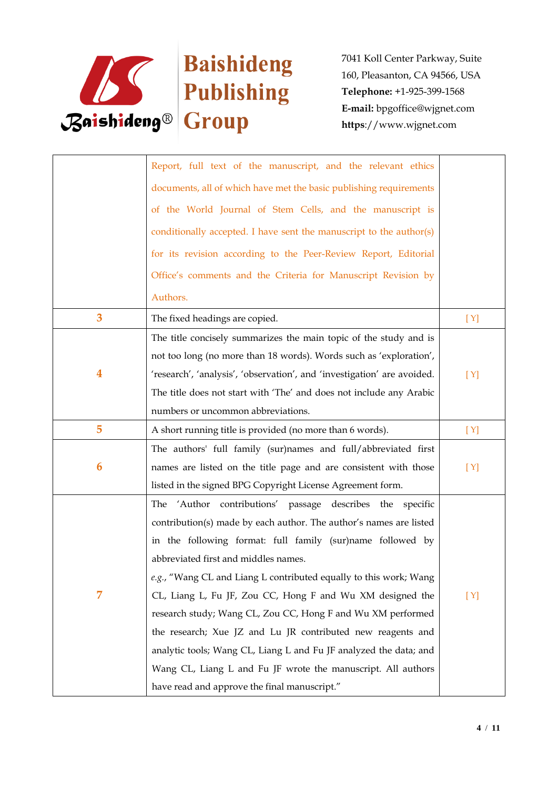

|   | Report, full text of the manuscript, and the relevant ethics            |     |
|---|-------------------------------------------------------------------------|-----|
|   | documents, all of which have met the basic publishing requirements      |     |
|   | of the World Journal of Stem Cells, and the manuscript is               |     |
|   | conditionally accepted. I have sent the manuscript to the author(s)     |     |
|   | for its revision according to the Peer-Review Report, Editorial         |     |
|   | Office's comments and the Criteria for Manuscript Revision by           |     |
|   | Authors.                                                                |     |
| 3 | The fixed headings are copied.                                          | [Y] |
|   | The title concisely summarizes the main topic of the study and is       |     |
|   | not too long (no more than 18 words). Words such as 'exploration',      |     |
| 4 | 'research', 'analysis', 'observation', and 'investigation' are avoided. | [Y] |
|   | The title does not start with 'The' and does not include any Arabic     |     |
|   | numbers or uncommon abbreviations.                                      |     |
| 5 | A short running title is provided (no more than 6 words).               | [Y] |
|   | The authors' full family (sur)names and full/abbreviated first          |     |
| 6 | names are listed on the title page and are consistent with those        | [Y] |
|   | listed in the signed BPG Copyright License Agreement form.              |     |
|   | 'Author contributions' passage describes the specific<br>The            |     |
|   | contribution(s) made by each author. The author's names are listed      |     |
|   | in the following format: full family (sur)name followed by              |     |
|   | abbreviated first and middles names.                                    |     |
|   | e.g., "Wang CL and Liang L contributed equally to this work; Wang       |     |
| 7 | CL, Liang L, Fu JF, Zou CC, Hong F and Wu XM designed the               | [Y] |
|   | research study; Wang CL, Zou CC, Hong F and Wu XM performed             |     |
|   | the research; Xue JZ and Lu JR contributed new reagents and             |     |
|   | analytic tools; Wang CL, Liang L and Fu JF analyzed the data; and       |     |
|   | Wang CL, Liang L and Fu JF wrote the manuscript. All authors            |     |
|   | have read and approve the final manuscript."                            |     |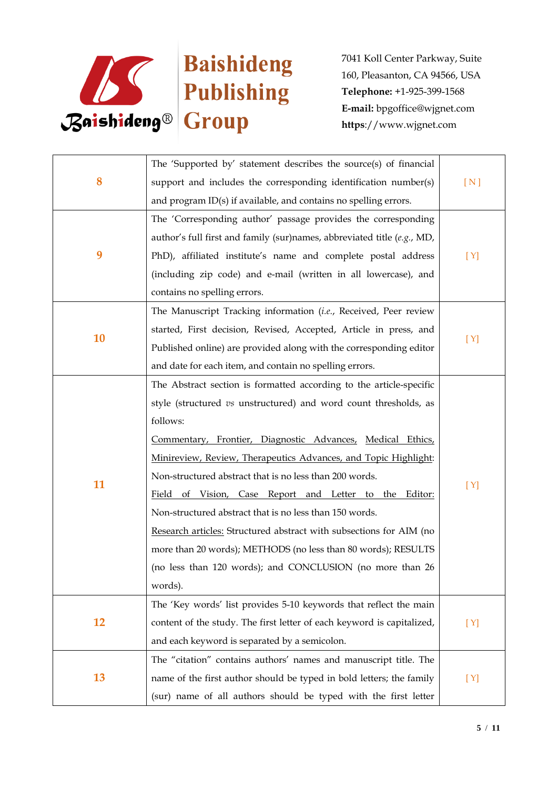

| 8         | The 'Supported by' statement describes the source(s) of financial       |     |
|-----------|-------------------------------------------------------------------------|-----|
|           | support and includes the corresponding identification number(s)         | [N] |
|           | and program ID(s) if available, and contains no spelling errors.        |     |
|           | The 'Corresponding author' passage provides the corresponding           |     |
|           | author's full first and family (sur)names, abbreviated title (e.g., MD, |     |
| 9         | PhD), affiliated institute's name and complete postal address           | [Y] |
|           | (including zip code) and e-mail (written in all lowercase), and         |     |
|           | contains no spelling errors.                                            |     |
|           | The Manuscript Tracking information (i.e., Received, Peer review        |     |
|           | started, First decision, Revised, Accepted, Article in press, and       |     |
| 10        | Published online) are provided along with the corresponding editor      | [Y] |
|           | and date for each item, and contain no spelling errors.                 |     |
|           | The Abstract section is formatted according to the article-specific     |     |
|           | style (structured vs unstructured) and word count thresholds, as        |     |
|           | follows:                                                                |     |
|           | Commentary, Frontier, Diagnostic Advances, Medical Ethics,              |     |
|           | Minireview, Review, Therapeutics Advances, and Topic Highlight:         |     |
|           | Non-structured abstract that is no less than 200 words.                 |     |
| 11        | Field of Vision, Case Report and Letter to the Editor:                  | [Y] |
|           | Non-structured abstract that is no less than 150 words.                 |     |
|           | Research articles: Structured abstract with subsections for AIM (no     |     |
|           | more than 20 words); METHODS (no less than 80 words); RESULTS           |     |
|           | (no less than 120 words); and CONCLUSION (no more than 26               |     |
|           | words).                                                                 |     |
| <b>12</b> | The 'Key words' list provides 5-10 keywords that reflect the main       |     |
|           | content of the study. The first letter of each keyword is capitalized,  | [Y] |
|           | and each keyword is separated by a semicolon.                           |     |
| 13        | The "citation" contains authors' names and manuscript title. The        |     |
|           | name of the first author should be typed in bold letters; the family    | [Y] |
|           | (sur) name of all authors should be typed with the first letter         |     |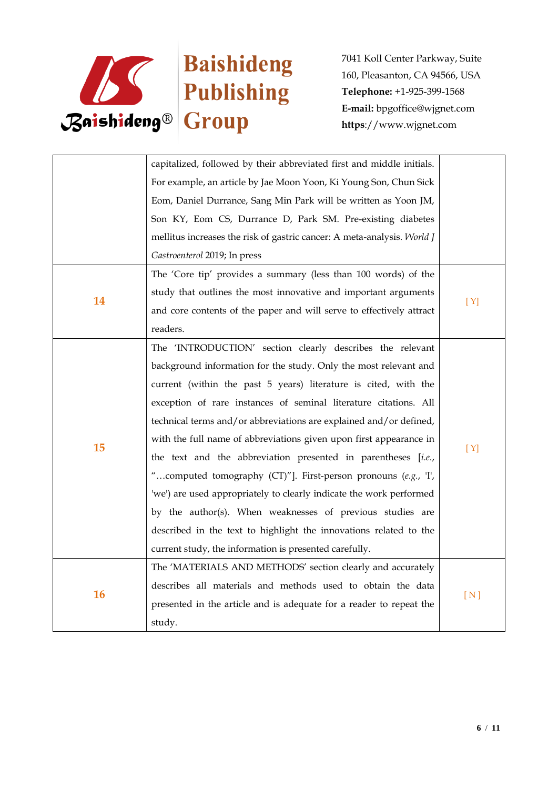

|           | capitalized, followed by their abbreviated first and middle initials.   |     |
|-----------|-------------------------------------------------------------------------|-----|
|           | For example, an article by Jae Moon Yoon, Ki Young Son, Chun Sick       |     |
|           | Eom, Daniel Durrance, Sang Min Park will be written as Yoon JM,         |     |
|           | Son KY, Eom CS, Durrance D, Park SM. Pre-existing diabetes              |     |
|           | mellitus increases the risk of gastric cancer: A meta-analysis. World J |     |
|           | Gastroenterol 2019; In press                                            |     |
|           | The 'Core tip' provides a summary (less than 100 words) of the          |     |
|           | study that outlines the most innovative and important arguments         |     |
| 14        | and core contents of the paper and will serve to effectively attract    | [Y] |
|           | readers.                                                                |     |
|           | The 'INTRODUCTION' section clearly describes the relevant               |     |
|           | background information for the study. Only the most relevant and        |     |
|           | current (within the past 5 years) literature is cited, with the         |     |
|           | exception of rare instances of seminal literature citations. All        |     |
|           | technical terms and/or abbreviations are explained and/or defined,      |     |
|           | with the full name of abbreviations given upon first appearance in      |     |
| 15        | the text and the abbreviation presented in parentheses [i.e.,           | [Y] |
|           | "computed tomography $(CT)$ "]. First-person pronouns $(e.g., 'I',')$   |     |
|           | 'we') are used appropriately to clearly indicate the work performed     |     |
|           | by the author(s). When weaknesses of previous studies are               |     |
|           | described in the text to highlight the innovations related to the       |     |
|           | current study, the information is presented carefully.                  |     |
| <b>16</b> | The 'MATERIALS AND METHODS' section clearly and accurately              |     |
|           | describes all materials and methods used to obtain the data             |     |
|           | presented in the article and is adequate for a reader to repeat the     | [N] |
|           | study.                                                                  |     |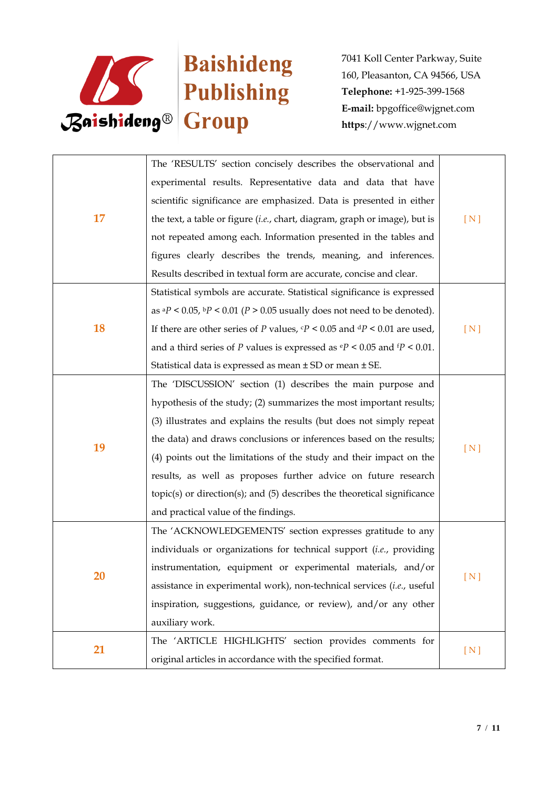

| 17 | The 'RESULTS' section concisely describes the observational and                                |     |
|----|------------------------------------------------------------------------------------------------|-----|
|    | experimental results. Representative data and data that have                                   |     |
|    | scientific significance are emphasized. Data is presented in either                            |     |
|    | the text, a table or figure (i.e., chart, diagram, graph or image), but is                     | [N] |
|    | not repeated among each. Information presented in the tables and                               |     |
|    | figures clearly describes the trends, meaning, and inferences.                                 |     |
|    | Results described in textual form are accurate, concise and clear.                             |     |
|    | Statistical symbols are accurate. Statistical significance is expressed                        |     |
|    | as $aP < 0.05$ , $bP < 0.01$ ( $P > 0.05$ usually does not need to be denoted).                |     |
| 18 | If there are other series of P values, $\mathbf{c}P < 0.05$ and $\mathbf{d}P < 0.01$ are used, | [N] |
|    | and a third series of P values is expressed as $\mathbf{e}P < 0.05$ and $\mathbf{f}P < 0.01$ . |     |
|    | Statistical data is expressed as mean ± SD or mean ± SE.                                       |     |
|    | The 'DISCUSSION' section (1) describes the main purpose and                                    |     |
|    | hypothesis of the study; (2) summarizes the most important results;                            |     |
|    | (3) illustrates and explains the results (but does not simply repeat                           |     |
| 19 | the data) and draws conclusions or inferences based on the results;                            | [N] |
|    | (4) points out the limitations of the study and their impact on the                            |     |
|    | results, as well as proposes further advice on future research                                 |     |
|    | topic(s) or direction(s); and (5) describes the theoretical significance                       |     |
|    | and practical value of the findings.                                                           |     |
|    | The 'ACKNOWLEDGEMENTS' section expresses gratitude to any                                      |     |
| 20 | individuals or organizations for technical support (i.e., providing                            |     |
|    | instrumentation, equipment or experimental materials, and/or                                   |     |
|    | assistance in experimental work), non-technical services (i.e., useful                         | [N] |
|    | inspiration, suggestions, guidance, or review), and/or any other                               |     |
|    | auxiliary work.                                                                                |     |
| 21 | The 'ARTICLE HIGHLIGHTS' section provides comments for                                         |     |
|    | original articles in accordance with the specified format.                                     | [N] |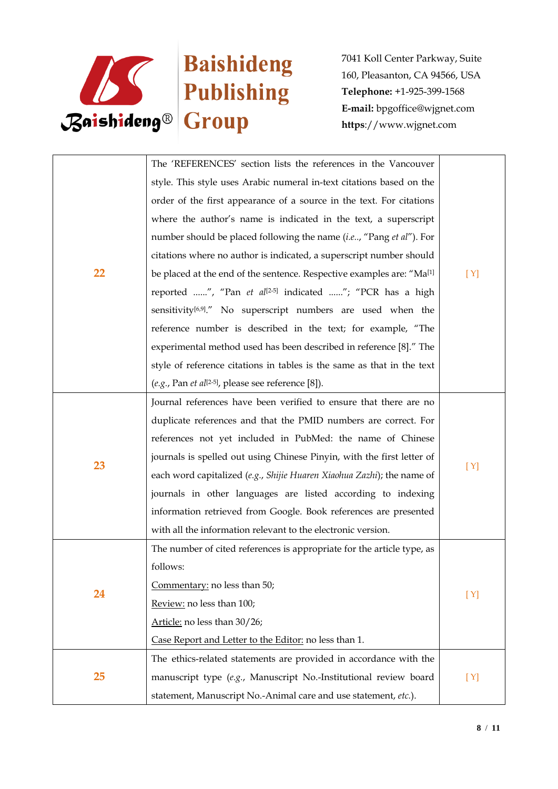

|    | The 'REFERENCES' section lists the references in the Vancouver                    |     |
|----|-----------------------------------------------------------------------------------|-----|
|    | style. This style uses Arabic numeral in-text citations based on the              |     |
|    | order of the first appearance of a source in the text. For citations              |     |
|    | where the author's name is indicated in the text, a superscript                   |     |
|    | number should be placed following the name (i.e, "Pang et al"). For               |     |
|    | citations where no author is indicated, a superscript number should               |     |
| 22 | be placed at the end of the sentence. Respective examples are: "Ma <sup>[1]</sup> | [Y] |
|    | reported ", "Pan et al <sup>[2-5]</sup> indicated "; "PCR has a high              |     |
|    | sensitivity <sup>[6,9]</sup> ." No superscript numbers are used when the          |     |
|    | reference number is described in the text; for example, "The                      |     |
|    | experimental method used has been described in reference [8]." The                |     |
|    | style of reference citations in tables is the same as that in the text            |     |
|    | $(e.g., Pan et al[2-5], please see reference [8]).$                               |     |
|    | Journal references have been verified to ensure that there are no                 |     |
|    | duplicate references and that the PMID numbers are correct. For                   |     |
|    | references not yet included in PubMed: the name of Chinese                        |     |
|    | journals is spelled out using Chinese Pinyin, with the first letter of            |     |
| 23 | each word capitalized (e.g., Shijie Huaren Xiaohua Zazhi); the name of            | [Y] |
|    | journals in other languages are listed according to indexing                      |     |
|    | information retrieved from Google. Book references are presented                  |     |
|    | with all the information relevant to the electronic version.                      |     |
|    | The number of cited references is appropriate for the article type, as            |     |
| 24 | follows:                                                                          |     |
|    | Commentary: no less than 50;                                                      |     |
|    | Review: no less than 100;                                                         | [Y] |
|    | Article: no less than 30/26;                                                      |     |
|    | Case Report and Letter to the Editor: no less than 1.                             |     |
| 25 | The ethics-related statements are provided in accordance with the                 |     |
|    | manuscript type (e.g., Manuscript No.-Institutional review board                  | [Y] |
|    | statement, Manuscript No.-Animal care and use statement, etc.).                   |     |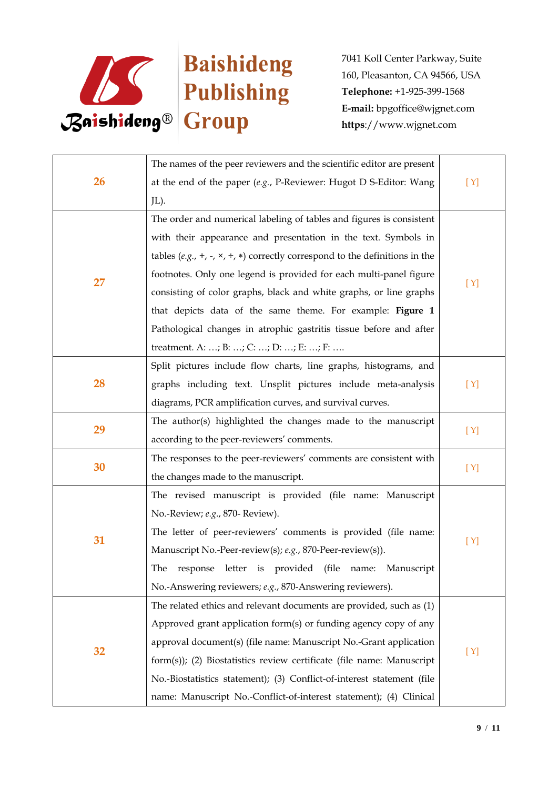

| <b>26</b> | The names of the peer reviewers and the scientific editor are present                        |                          |
|-----------|----------------------------------------------------------------------------------------------|--------------------------|
|           | at the end of the paper $(e.g., P\text{-}Reviewer: Hugot D \text{ S-Editor: Wang})$          | [Y]                      |
|           | JL).                                                                                         |                          |
|           | The order and numerical labeling of tables and figures is consistent                         |                          |
|           | with their appearance and presentation in the text. Symbols in                               |                          |
|           | tables (e.g., +, -, $\times$ , $\div$ , $*$ ) correctly correspond to the definitions in the |                          |
|           | footnotes. Only one legend is provided for each multi-panel figure                           |                          |
| 27        | consisting of color graphs, black and white graphs, or line graphs                           | [Y]                      |
|           | that depicts data of the same theme. For example: Figure 1                                   |                          |
|           | Pathological changes in atrophic gastritis tissue before and after                           |                          |
|           | treatment. A: ; B: ; C: ; D: ; E: ; F:                                                       |                          |
|           | Split pictures include flow charts, line graphs, histograms, and                             |                          |
| 28        | graphs including text. Unsplit pictures include meta-analysis                                | [Y]                      |
|           | diagrams, PCR amplification curves, and survival curves.                                     |                          |
|           | The author(s) highlighted the changes made to the manuscript                                 |                          |
| 29        | according to the peer-reviewers' comments.                                                   |                          |
|           | The responses to the peer-reviewers' comments are consistent with                            |                          |
| 30        | the changes made to the manuscript.                                                          |                          |
|           | The revised manuscript is provided (file name: Manuscript                                    |                          |
|           | No.-Review; e.g., 870- Review).                                                              |                          |
|           | The letter of peer-reviewers' comments is provided (file name:                               |                          |
| 31        | Manuscript No.-Peer-review(s); e.g., 870-Peer-review(s)).                                    |                          |
|           | The response letter is provided (file name: Manuscript                                       |                          |
|           | No.-Answering reviewers; e.g., 870-Answering reviewers).                                     |                          |
| 32        | The related ethics and relevant documents are provided, such as (1)                          |                          |
|           | Approved grant application form(s) or funding agency copy of any                             |                          |
|           | approval document(s) (file name: Manuscript No.-Grant application                            |                          |
|           | form(s)); (2) Biostatistics review certificate (file name: Manuscript                        |                          |
|           | No.-Biostatistics statement); (3) Conflict-of-interest statement (file                       | [Y]<br>[Y]<br>[Y]<br>[Y] |
|           | name: Manuscript No.-Conflict-of-interest statement); (4) Clinical                           |                          |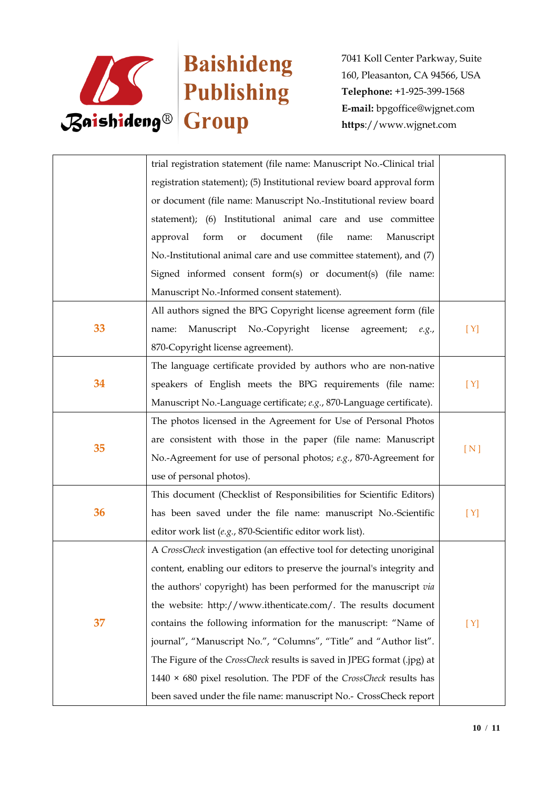

|    | trial registration statement (file name: Manuscript No.-Clinical trial    |     |
|----|---------------------------------------------------------------------------|-----|
|    | registration statement); (5) Institutional review board approval form     |     |
|    | or document (file name: Manuscript No.-Institutional review board         |     |
|    | statement); (6) Institutional animal care and use committee               |     |
|    | form<br>document<br>approval<br>(file<br>Manuscript<br>or<br>name:        |     |
|    | No.-Institutional animal care and use committee statement), and (7)       |     |
|    | Signed informed consent form(s) or document(s) (file name:                |     |
|    | Manuscript No.-Informed consent statement).                               |     |
|    | All authors signed the BPG Copyright license agreement form (file         |     |
| 33 | Manuscript No.-Copyright<br>license<br>agreement;<br>name:<br>e.g.,       | [Y] |
|    | 870-Copyright license agreement).                                         |     |
|    | The language certificate provided by authors who are non-native           |     |
| 34 | speakers of English meets the BPG requirements (file name:                | [Y] |
|    | Manuscript No.-Language certificate; e.g., 870-Language certificate).     |     |
|    | The photos licensed in the Agreement for Use of Personal Photos           |     |
| 35 | are consistent with those in the paper (file name: Manuscript             |     |
|    | No.-Agreement for use of personal photos; e.g., 870-Agreement for         | [N] |
|    | use of personal photos).                                                  |     |
|    | This document (Checklist of Responsibilities for Scientific Editors)      |     |
| 36 | has been saved under the file name: manuscript No.-Scientific             | [Y] |
|    | editor work list (e.g., 870-Scientific editor work list).                 |     |
|    | A CrossCheck investigation (an effective tool for detecting unoriginal    |     |
| 37 | content, enabling our editors to preserve the journal's integrity and     |     |
|    | the authors' copyright) has been performed for the manuscript via         |     |
|    | the website: http://www.ithenticate.com/. The results document            |     |
|    | contains the following information for the manuscript: "Name of           | [Y] |
|    | journal", "Manuscript No.", "Columns", "Title" and "Author list".         |     |
|    | The Figure of the CrossCheck results is saved in JPEG format (.jpg) at    |     |
|    | 1440 $\times$ 680 pixel resolution. The PDF of the CrossCheck results has |     |
|    | been saved under the file name: manuscript No.- CrossCheck report         |     |